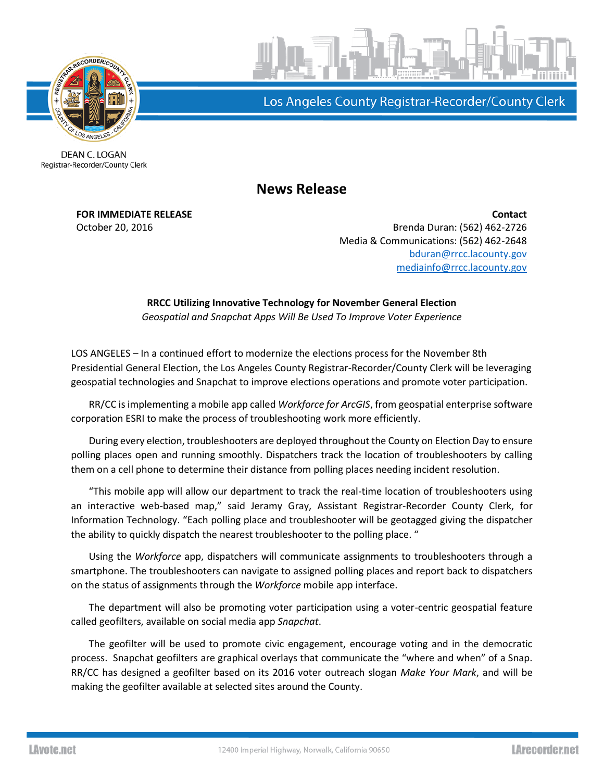

Los Angeles County Registrar-Recorder/County Clerk

DEAN C. LOGAN Registrar-Recorder/County Clerk

**News Release**

**FOR IMMEDIATE RELEASE Contact** October 20, 2016 Brenda Duran: (562) 462-2726 Media & Communications: (562) 462-2648 [bduran@rrcc.lacounty.gov](mailto:bduran@rrcc.lacounty.gov) [mediainfo@rrcc.lacounty.gov](mailto:mediainfo@rrcc.lacounty.gov)

> **RRCC Utilizing Innovative Technology for November General Election**  *Geospatial and Snapchat Apps Will Be Used To Improve Voter Experience*

LOS ANGELES – In a continued effort to modernize the elections process for the November 8th Presidential General Election, the Los Angeles County Registrar-Recorder/County Clerk will be leveraging geospatial technologies and Snapchat to improve elections operations and promote voter participation.

RR/CC is implementing a mobile app called *Workforce for ArcGIS*, from geospatial enterprise software corporation ESRI to make the process of troubleshooting work more efficiently.

During every election, troubleshooters are deployed throughout the County on Election Day to ensure polling places open and running smoothly. Dispatchers track the location of troubleshooters by calling them on a cell phone to determine their distance from polling places needing incident resolution.

"This mobile app will allow our department to track the real-time location of troubleshooters using an interactive web-based map," said Jeramy Gray, Assistant Registrar-Recorder County Clerk, for Information Technology. "Each polling place and troubleshooter will be geotagged giving the dispatcher the ability to quickly dispatch the nearest troubleshooter to the polling place. "

Using the *Workforce* app, dispatchers will communicate assignments to troubleshooters through a smartphone. The troubleshooters can navigate to assigned polling places and report back to dispatchers on the status of assignments through the *Workforce* mobile app interface.

The department will also be promoting voter participation using a voter-centric geospatial feature called geofilters, available on social media app *Snapchat*.

The geofilter will be used to promote civic engagement, encourage voting and in the democratic process. Snapchat geofilters are graphical overlays that communicate the "where and when" of a Snap. RR/CC has designed a geofilter based on its 2016 voter outreach slogan *Make Your Mark*, and will be making the geofilter available at selected sites around the County.